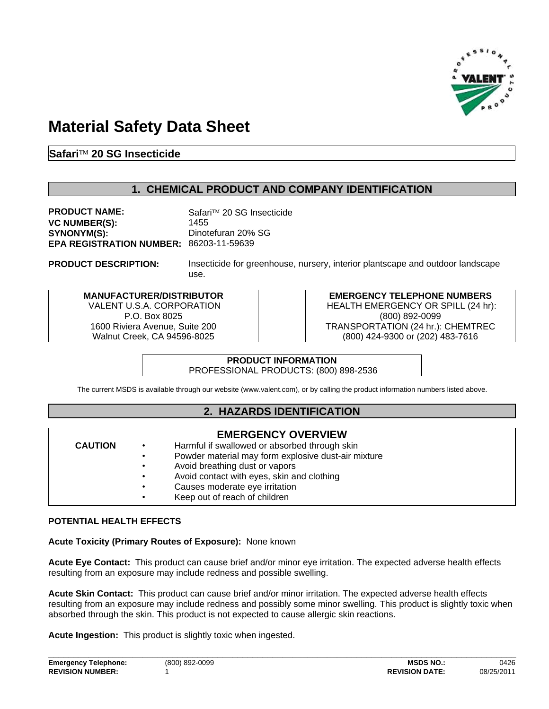

# **Material Safety Data Sheet**

**SafariÔ 20 SG Insecticide**

**PRODUCT DESCRIPTION:**

## **1. CHEMICAL PRODUCT AND COMPANY IDENTIFICATION**

**EPA REGISTRATION NUMBER: 86203-11-59639 VC NUMBER(S):** 1455 **SYNONYM(S):** Dinotefuran 20% SG **PRODUCT NAME:** Safari™ 20 SG Insecticide

Insecticide for greenhouse, nursery, interior plantscape and outdoor landscape use.

**MANUFACTURER/DISTRIBUTOR** VALENT U.S.A. CORPORATION P.O. Box 8025 1600 Riviera Avenue, Suite 200 Walnut Creek, CA 94596-8025

**EMERGENCY TELEPHONE NUMBERS** HEALTH EMERGENCY OR SPILL (24 hr): (800) 892-0099 TRANSPORTATION (24 hr.): CHEMTREC (800) 424-9300 or (202) 483-7616

#### **PRODUCT INFORMATION** PROFESSIONAL PRODUCTS: (800) 898-2536

The current MSDS is available through our website (www.valent.com), or by calling the product information numbers listed above.

## **2. HAZARDS IDENTIFICATION**

**EMERGENCY OVERVIEW**

#### **CAUTION**

- Harmful if swallowed or absorbed through skin
- Powder material may form explosive dust-air mixture
- Avoid breathing dust or vapors
- Avoid contact with eyes, skin and clothing
- Causes moderate eye irritation
- Keep out of reach of children

## **POTENTIAL HEALTH EFFECTS**

**Acute Toxicity (Primary Routes of Exposure):** None known

**Acute Eye Contact:** This product can cause brief and/or minor eye irritation. The expected adverse health effects resulting from an exposure may include redness and possible swelling.

**Acute Skin Contact:** This product can cause brief and/or minor irritation. The expected adverse health effects resulting from an exposure may include redness and possibly some minor swelling. This product is slightly toxic when absorbed through the skin. This product is not expected to cause allergic skin reactions.

**Acute Ingestion:** This product is slightly toxic when ingested.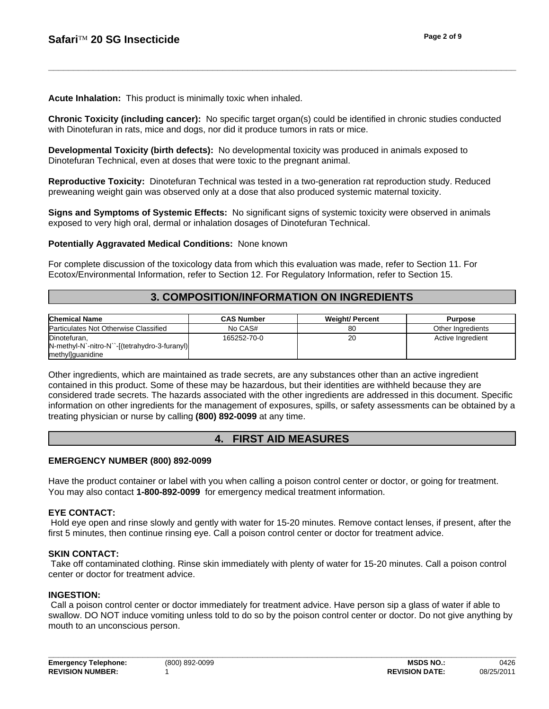**Acute Inhalation:** This product is minimally toxic when inhaled.

**Chronic Toxicity (including cancer):** No specific target organ(s) could be identified in chronic studies conducted with Dinotefuran in rats, mice and dogs, nor did it produce tumors in rats or mice.

**\_\_\_\_\_\_\_\_\_\_\_\_\_\_\_\_\_\_\_\_\_\_\_\_\_\_\_\_\_\_\_\_\_\_\_\_\_\_\_\_\_\_\_\_\_\_\_\_\_\_\_\_\_\_\_\_\_\_\_\_\_\_\_\_\_\_\_\_\_\_\_\_\_\_\_\_\_\_\_\_\_\_\_\_\_\_\_\_\_\_\_\_\_\_**

**Developmental Toxicity (birth defects):** No developmental toxicity was produced in animals exposed to Dinotefuran Technical, even at doses that were toxic to the pregnant animal.

**Reproductive Toxicity:** Dinotefuran Technical was tested in a two-generation rat reproduction study. Reduced preweaning weight gain was observed only at a dose that also produced systemic maternal toxicity.

**Signs and Symptoms of Systemic Effects:** No significant signs of systemic toxicity were observed in animals exposed to very high oral, dermal or inhalation dosages of Dinotefuran Technical.

#### **Potentially Aggravated Medical Conditions:** None known

For complete discussion of the toxicology data from which this evaluation was made, refer to Section 11. For Ecotox/Environmental Information, refer to Section 12. For Regulatory Information, refer to Section 15.

## **3. COMPOSITION/INFORMATION ON INGREDIENTS**

| <b>Chemical Name</b>                          | <b>CAS Number</b> | <b>Weight/Percent</b> | Purpose           |
|-----------------------------------------------|-------------------|-----------------------|-------------------|
| Particulates Not Otherwise Classified         | No CAS#           | 80                    | Other Ingredients |
| Dinotefuran,                                  | 165252-70-0       | 20                    | Active Ingredient |
| N-methyl-N`-nitro-N``-[(tetrahydro-3-furanyl) |                   |                       |                   |
| methyl]guanidine                              |                   |                       |                   |

Other ingredients, which are maintained as trade secrets, are any substances other than an active ingredient contained in this product. Some of these may be hazardous, but their identities are withheld because they are considered trade secrets. The hazards associated with the other ingredients are addressed in this document. Specific information on other ingredients for the management of exposures, spills, or safety assessments can be obtained by a treating physician or nurse by calling **(800) 892-0099** at any time.

## **4. FIRST AID MEASURES**

#### **EMERGENCY NUMBER (800) 892-0099**

Have the product container or label with you when calling a poison control center or doctor, or going for treatment. You may also contact **1-800-892-0099** for emergency medical treatment information.

#### **EYE CONTACT:**

Hold eye open and rinse slowly and gently with water for 15-20 minutes. Remove contact lenses, if present, after the first 5 minutes, then continue rinsing eye. Call a poison control center or doctor for treatment advice.

#### **SKIN CONTACT:**

Take off contaminated clothing. Rinse skin immediately with plenty of water for 15-20 minutes. Call a poison control center or doctor for treatment advice.

#### **INGESTION:**

Call a poison control center or doctor immediately for treatment advice. Have person sip a glass of water if able to swallow. DO NOT induce vomiting unless told to do so by the poison control center or doctor. Do not give anything by mouth to an unconscious person.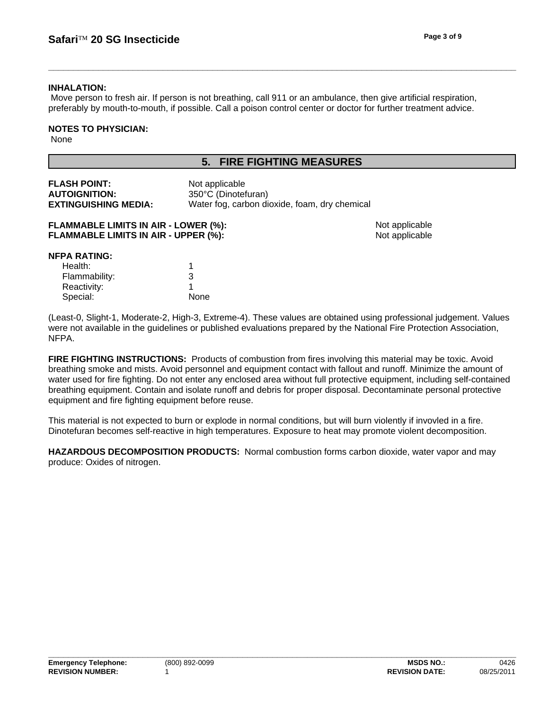### **INHALATION:**

Move person to fresh air. If person is not breathing, call 911 or an ambulance, then give artificial respiration, preferably by mouth-to-mouth, if possible. Call a poison control center or doctor for further treatment advice.

## **NOTES TO PHYSICIAN:**

None

## **5. FIRE FIGHTING MEASURES**

| <b>FLASH POINT:</b>         | Not applicable                                |
|-----------------------------|-----------------------------------------------|
| <b>AUTOIGNITION:</b>        | 350°C (Dinotefuran)                           |
| <b>EXTINGUISHING MEDIA:</b> | Water fog, carbon dioxide, foam, dry chemical |

| <b>FLAMMABLE LIMITS IN AIR - LOWER (%):</b> |  |
|---------------------------------------------|--|
| <b>FLAMMABLE LIMITS IN AIR - UPPER (%):</b> |  |

Not applicable Not applicable

## **NFPA RATING:**

| Health:       |      |
|---------------|------|
| Flammability: | 3    |
| Reactivity:   |      |
| Special:      | None |

(Least-0, Slight-1, Moderate-2, High-3, Extreme-4). These values are obtained using professional judgement. Values were not available in the guidelines or published evaluations prepared by the National Fire Protection Association, NFPA.

FIRE FIGHTING INSTRUCTIONS: Products of combustion from fires involving this material may be toxic. Avoid breathing smoke and mists. Avoid personnel and equipment contact with fallout and runoff. Minimize the amount of water used for fire fighting. Do not enter any enclosed area without full protective equipment, including self-contained breathing equipment. Contain and isolate runoff and debris for proper disposal. Decontaminate personal protective equipment and fire fighting equipment before reuse.

This material is not expected to burn or explode in normal conditions, but will burn violently if invovled in a fire. Dinotefuran becomes self-reactive in high temperatures. Exposure to heat may promote violent decomposition.

**HAZARDOUS DECOMPOSITION PRODUCTS:** Normal combustion forms carbon dioxide, water vapor and may produce: Oxides of nitrogen.

**\_\_\_\_\_\_\_\_\_\_\_\_\_\_\_\_\_\_\_\_\_\_\_\_\_\_\_\_\_\_\_\_\_\_\_\_\_\_\_\_\_\_\_\_\_\_\_\_\_\_\_\_\_\_\_\_\_\_\_\_\_\_\_\_\_\_\_\_\_\_\_\_\_\_\_\_\_\_\_\_\_\_\_\_\_\_\_\_\_\_\_\_\_\_**

0426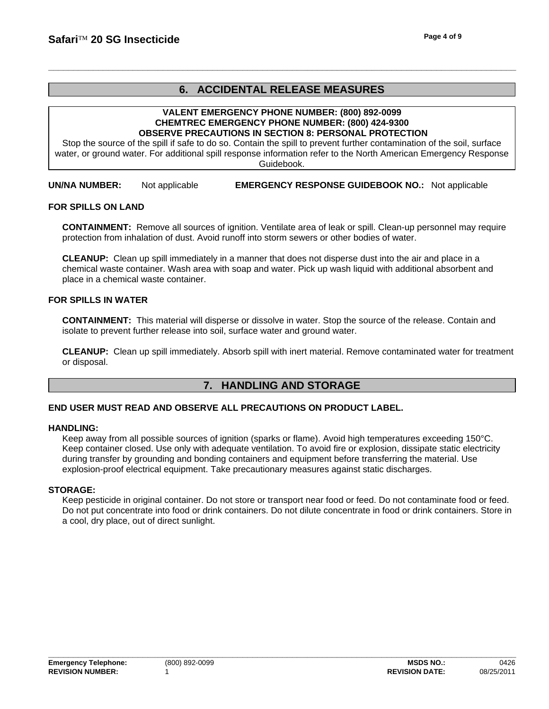## **6. ACCIDENTAL RELEASE MEASURES**

**\_\_\_\_\_\_\_\_\_\_\_\_\_\_\_\_\_\_\_\_\_\_\_\_\_\_\_\_\_\_\_\_\_\_\_\_\_\_\_\_\_\_\_\_\_\_\_\_\_\_\_\_\_\_\_\_\_\_\_\_\_\_\_\_\_\_\_\_\_\_\_\_\_\_\_\_\_\_\_\_\_\_\_\_\_\_\_\_\_\_\_\_\_\_**

#### **VALENT EMERGENCY PHONE NUMBER: (800) 892-0099 CHEMTREC EMERGENCY PHONE NUMBER: (800) 424-9300 OBSERVE PRECAUTIONS IN SECTION 8: PERSONAL PROTECTION**

Stop the source of the spill if safe to do so. Contain the spill to prevent further contamination of the soil, surface water, or ground water. For additional spill response information refer to the North American Emergency Response Guidebook.

**UN/NA NUMBER:** Not applicable **EMERGENCY RESPONSE GUIDEBOOK NO.:** Not applicable

#### **FOR SPILLS ON LAND**

**CONTAINMENT:** Remove all sources of ignition. Ventilate area of leak or spill. Clean-up personnel may require protection from inhalation of dust. Avoid runoff into storm sewers or other bodies of water.

**CLEANUP:** Clean up spill immediately in a manner that does not disperse dust into the air and place in a chemical waste container. Wash area with soap and water. Pick up wash liquid with additional absorbent and place in a chemical waste container.

#### **FOR SPILLS IN WATER**

**CONTAINMENT:** This material will disperse or dissolve in water. Stop the source of the release. Contain and isolate to prevent further release into soil, surface water and ground water.

**CLEANUP:** Clean up spill immediately. Absorb spill with inert material. Remove contaminated water for treatment or disposal.

## **7. HANDLING AND STORAGE**

#### **END USER MUST READ AND OBSERVE ALL PRECAUTIONS ON PRODUCT LABEL.**

#### **HANDLING:**

Keep away from all possible sources of ignition (sparks or flame). Avoid high temperatures exceeding 150°C. Keep container closed. Use only with adequate ventilation. To avoid fire or explosion, dissipate static electricity during transfer by grounding and bonding containers and equipment before transferring the material. Use explosion-proof electrical equipment. Take precautionary measures against static discharges.

#### **STORAGE:**

Keep pesticide in original container. Do not store or transport near food or feed. Do not contaminate food or feed. Do not put concentrate into food or drink containers. Do not dilute concentrate in food or drink containers. Store in a cool, dry place, out of direct sunlight.

**\_\_\_\_\_\_\_\_\_\_\_\_\_\_\_\_\_\_\_\_\_\_\_\_\_\_\_\_\_\_\_\_\_\_\_\_\_\_\_\_\_\_\_\_\_\_\_\_\_\_\_\_\_\_\_\_\_\_\_\_\_\_\_\_\_\_\_\_\_\_\_\_\_\_\_\_\_\_\_\_\_\_\_\_\_\_\_\_\_\_\_\_\_\_**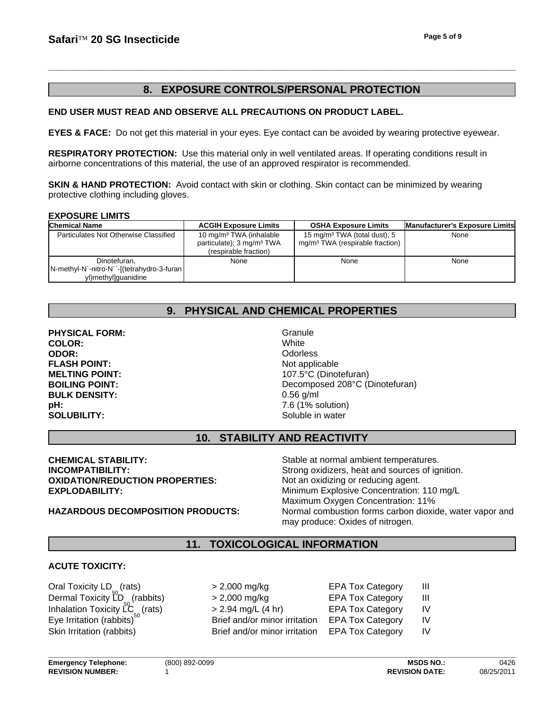## **8. EXPOSURE CONTROLS/PERSONAL PROTECTION**

### **END USER MUST READ AND OBSERVE ALL PRECAUTIONS ON PRODUCT LABEL.**

**EYES & FACE:** Do not get this material in your eyes. Eye contact can be avoided by wearing protective eyewear.

**RESPIRATORY PROTECTION:** Use this material only in well ventilated areas. If operating conditions result in airborne concentrations of this material, the use of an approved respirator is recommended.

**SKIN & HAND PROTECTION:** Avoid contact with skin or clothing. Skin contact can be minimized by wearing protective clothing including gloves.

#### **EXPOSURE LIMITS**

| <b>Chemical Name</b>                        | <b>ACGIH Exposure Limits</b>          | <b>OSHA Exposure Limits</b>                 | <b>Manufacturer's Exposure Limits</b> |
|---------------------------------------------|---------------------------------------|---------------------------------------------|---------------------------------------|
| Particulates Not Otherwise Classified       | 10 mg/m <sup>3</sup> TWA (inhalable   | 15 mg/m <sup>3</sup> TWA (total dust); 5    | None                                  |
|                                             | particulate); 3 mg/m <sup>3</sup> TWA | mg/m <sup>3</sup> TWA (respirable fraction) |                                       |
|                                             | (respirable fraction)                 |                                             |                                       |
| Dinotefuran.                                | None                                  | None                                        | None                                  |
| N-methyl-N`-nitro-N``-[(tetrahydro-3-furan] |                                       |                                             |                                       |
| yl)methyl]guanidine                         |                                       |                                             |                                       |

## **9. PHYSICAL AND CHEMICAL PROPERTIES**

**COLOR: BOILING POINT: BULK DENSITY: ODOR: pH:** 7.6 (1% solution) **SOLUBILITY:** SOLUBILITY: **PHYSICAL FORM: FLASH POINT:** Not applicable

Decomposed 208°C (Dinotefuran) **White** 0.56 g/ml **Odorless Granule MELTING POINT:** 107.5°C (Dinotefuran)

## **10. STABILITY AND REACTIVITY**

**OXIDATION/REDUCTION PROPERTIES:** Not an oxidizing or reducing agent. **CHEMICAL STABILITY:**

## Stable at normal ambient temperatures. **INCOMPATIBILITY:** Strong oxidizers, heat and sources of ignition. **EXPLODABILITY:** Minimum Explosive Concentration: 110 mg/L Maximum Oxygen Concentration: 11% **HAZARDOUS DECOMPOSITION PRODUCTS:** Normal combustion forms carbon dioxide, water vapor and may produce: Oxides of nitrogen.

## **11. TOXICOLOGICAL INFORMATION**

## **ACUTE TOXICITY:**

Eye Irritation (rabbits) Dermal Toxicity LD (rabbits) Dermal Toxicity LD<sub>s</sub> (rabbits) > 2,000 mg<br>Inhalation Toxicity LC <sub>o</sub> (rats) > 2.94 mg/l Skin Irritation (rabbits) Oral Toxicity LD<sub>o</sub> (rats)  $> 2,00$ 

| $> 2,000$ mg/kg               | <b>EPA Tox Category</b> | Ш  |
|-------------------------------|-------------------------|----|
| > 2,000 mg/kg                 | <b>EPA Tox Category</b> | Ш  |
| $> 2.94$ mg/L (4 hr)          | <b>EPA Tox Category</b> | IV |
| Brief and/or minor irritation | <b>EPA Tox Category</b> | IV |
| Brief and/or minor irritation | <b>EPA Tox Category</b> |    |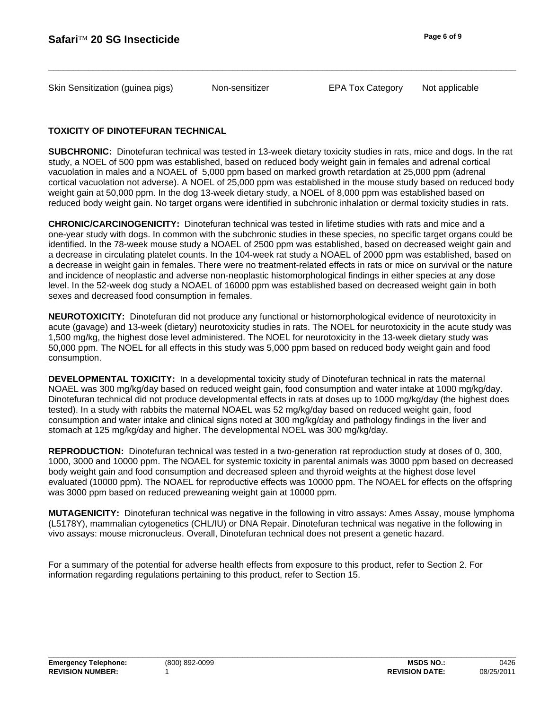Skin Sensitization (guinea pigs) **Non-sensitizer** EPA Tox Category

Non-sensitizer

Not applicable

## **TOXICITY OF DINOTEFURAN TECHNICAL**

**SUBCHRONIC:** Dinotefuran technical was tested in 13-week dietary toxicity studies in rats, mice and dogs. In the rat study, a NOEL of 500 ppm was established, based on reduced body weight gain in females and adrenal cortical vacuolation in males and a NOAEL of 5,000 ppm based on marked growth retardation at 25,000 ppm (adrenal cortical vacuolation not adverse). A NOEL of 25,000 ppm was established in the mouse study based on reduced body weight gain at 50,000 ppm. In the dog 13-week dietary study, a NOEL of 8,000 ppm was established based on reduced body weight gain. No target organs were identified in subchronic inhalation or dermal toxicity studies in rats.

**CHRONIC/CARCINOGENICITY:** Dinotefuran technical was tested in lifetime studies with rats and mice and a one-year study with dogs. In common with the subchronic studies in these species, no specific target organs could be identified. In the 78-week mouse study a NOAEL of 2500 ppm was established, based on decreased weight gain and a decrease in circulating platelet counts. In the 104-week rat study a NOAEL of 2000 ppm was established, based on a decrease in weight gain in females. There were no treatment-related effects in rats or mice on survival or the nature and incidence of neoplastic and adverse non-neoplastic histomorphological findings in either species at any dose level. In the 52-week dog study a NOAEL of 16000 ppm was established based on decreased weight gain in both sexes and decreased food consumption in females.

**NEUROTOXICITY:** Dinotefuran did not produce any functional or histomorphological evidence of neurotoxicity in acute (gavage) and 13-week (dietary) neurotoxicity studies in rats. The NOEL for neurotoxicity in the acute study was 1,500 mg/kg, the highest dose level administered. The NOEL for neurotoxicity in the 13-week dietary study was 50,000 ppm. The NOEL for all effects in this study was 5,000 ppm based on reduced body weight gain and food consumption.

**DEVELOPMENTAL TOXICITY:** In a developmental toxicity study of Dinotefuran technical in rats the maternal NOAEL was 300 mg/kg/day based on reduced weight gain, food consumption and water intake at 1000 mg/kg/day. Dinotefuran technical did not produce developmental effects in rats at doses up to 1000 mg/kg/day (the highest does tested). In a study with rabbits the maternal NOAEL was 52 mg/kg/day based on reduced weight gain, food consumption and water intake and clinical signs noted at 300 mg/kg/day and pathology findings in the liver and stomach at 125 mg/kg/day and higher. The developmental NOEL was 300 mg/kg/day.

**REPRODUCTION:** Dinotefuran technical was tested in a two-generation rat reproduction study at doses of 0, 300, 1000, 3000 and 10000 ppm. The NOAEL for systemic toxicity in parental animals was 3000 ppm based on decreased body weight gain and food consumption and decreased spleen and thyroid weights at the highest dose level evaluated (10000 ppm). The NOAEL for reproductive effects was 10000 ppm. The NOAEL for effects on the offspring was 3000 ppm based on reduced preweaning weight gain at 10000 ppm.

**MUTAGENICITY:** Dinotefuran technical was negative in the following in vitro assays: Ames Assay, mouse lymphoma (L5178Y), mammalian cytogenetics (CHL/IU) or DNA Repair. Dinotefuran technical was negative in the following in vivo assays: mouse micronucleus. Overall, Dinotefuran technical does not present a genetic hazard.

For a summary of the potential for adverse health effects from exposure to this product, refer to Section 2. For information regarding regulations pertaining to this product, refer to Section 15.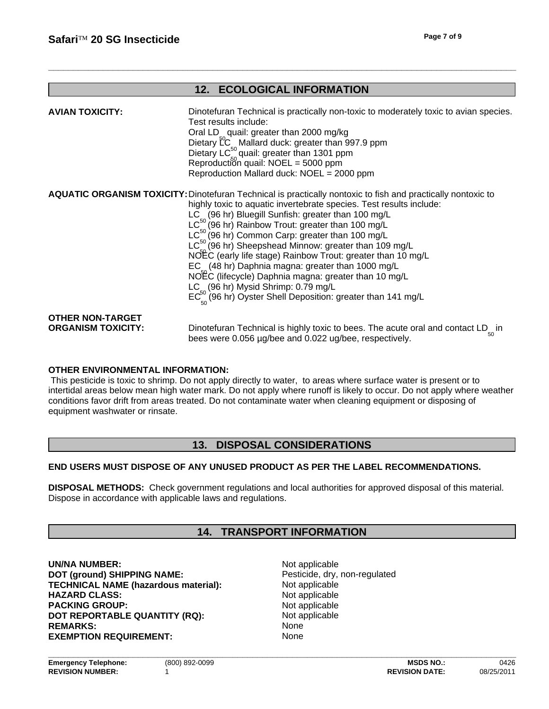## **12. ECOLOGICAL INFORMATION**

**\_\_\_\_\_\_\_\_\_\_\_\_\_\_\_\_\_\_\_\_\_\_\_\_\_\_\_\_\_\_\_\_\_\_\_\_\_\_\_\_\_\_\_\_\_\_\_\_\_\_\_\_\_\_\_\_\_\_\_\_\_\_\_\_\_\_\_\_\_\_\_\_\_\_\_\_\_\_\_\_\_\_\_\_\_\_\_\_\_\_\_\_\_\_**

| <b>AVIAN TOXICITY:</b>                               | Dinotefuran Technical is practically non-toxic to moderately toxic to avian species.<br>Test results include:<br>Oral LD quail: greater than 2000 mg/kg<br>Dietary LC <sub>c</sub> Mallard duck: greater than 997.9 ppm<br>Dietary LC <sup>50</sup> quail: greater than 1301 ppm<br>Reproduction quail: $NOEL = 5000$ ppm<br>Reproduction Mallard duck: NOEL = 2000 ppm                                                                                                                                                                                                                                                                                                                                                                                    |
|------------------------------------------------------|------------------------------------------------------------------------------------------------------------------------------------------------------------------------------------------------------------------------------------------------------------------------------------------------------------------------------------------------------------------------------------------------------------------------------------------------------------------------------------------------------------------------------------------------------------------------------------------------------------------------------------------------------------------------------------------------------------------------------------------------------------|
|                                                      | <b>AQUATIC ORGANISM TOXICITY: Dinotefuran Technical is practically nontoxic to fish and practically nontoxic to</b><br>highly toxic to aquatic invertebrate species. Test results include:<br>LC <sub>2</sub> (96 hr) Bluegill Sunfish: greater than 100 mg/L<br>LC <sup>50</sup> (96 hr) Rainbow Trout: greater than 100 mg/L<br>$LC50$ (96 hr) Common Carp: greater than 100 mg/L<br>$LC^{50}$ (96 hr) Sheepshead Minnow: greater than 109 mg/L<br>NOEC (early life stage) Rainbow Trout: greater than 10 mg/L<br>EC <sub>2</sub> (48 hr) Daphnia magna: greater than 1000 mg/L<br>NOEC (lifecycle) Daphnia magna: greater than 10 mg/L<br>LC (96 hr) Mysid Shrimp: 0.79 mg/L<br>$EC_{\sim}^{50}$ (96 hr) Oyster Shell Deposition: greater than 141 mg/L |
| <b>OTHER NON-TARGET</b><br><b>ORGANISM TOXICITY:</b> | Dinotefuran Technical is highly toxic to bees. The acute oral and contact LD <sub>ss</sub> in<br>bees were 0.056 µg/bee and 0.022 ug/bee, respectively.                                                                                                                                                                                                                                                                                                                                                                                                                                                                                                                                                                                                    |

## **OTHER ENVIRONMENTAL INFORMATION:**

This pesticide is toxic to shrimp. Do not apply directly to water, to areas where surface water is present or to intertidal areas below mean high water mark. Do not apply where runoff is likely to occur. Do not apply where weather conditions favor drift from areas treated. Do not contaminate water when cleaning equipment or disposing of equipment washwater or rinsate.

## **13. DISPOSAL CONSIDERATIONS**

#### **END USERS MUST DISPOSE OF ANY UNUSED PRODUCT AS PER THE LABEL RECOMMENDATIONS.**

**DISPOSAL METHODS:** Check government regulations and local authorities for approved disposal of this material. Dispose in accordance with applicable laws and regulations.

## **14. TRANSPORT INFORMATION**

REMARKS: None **DOT (ground) SHIPPING NAME:** Pesticide, dry, non-regulated **EXEMPTION REQUIREMENT:** None **TECHNICAL NAME (hazardous material):** Not applicable **HAZARD CLASS:** Not applicable **PACKING GROUP:**<br> **DOT REPORTABLE QUANTITY (RQ):** Not applicable Not applicable **UN/NA NUMBER:** Not applicable **DOT REPORTABLE QUANTITY (RQ):**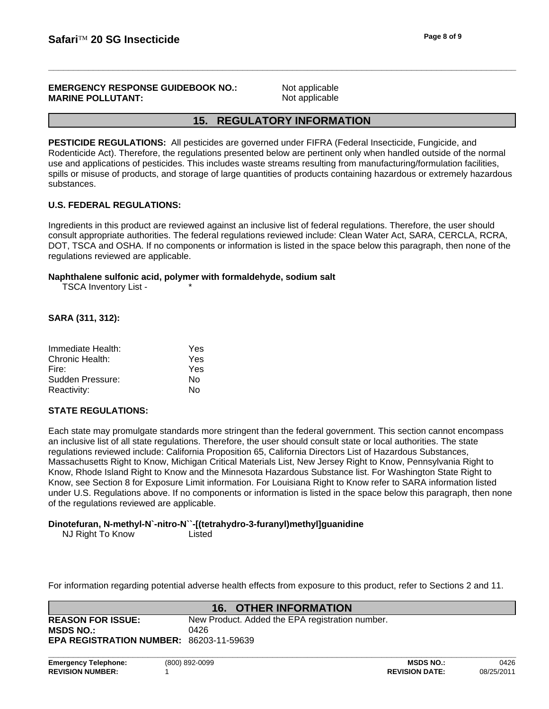#### **EMERGENCY RESPONSE GUIDEBOOK NO.: MARINE POLLUTANT:**

Not applicable Not applicable

## **15. REGULATORY INFORMATION**

**PESTICIDE REGULATIONS:** All pesticides are governed under FIFRA (Federal Insecticide, Fungicide, and Rodenticide Act). Therefore, the regulations presented below are pertinent only when handled outside of the normal use and applications of pesticides. This includes waste streams resulting from manufacturing/formulation facilities, spills or misuse of products, and storage of large quantities of products containing hazardous or extremely hazardous substances.

## **U.S. FEDERAL REGULATIONS:**

Ingredients in this product are reviewed against an inclusive list of federal regulations. Therefore, the user should consult appropriate authorities. The federal regulations reviewed include: Clean Water Act, SARA, CERCLA, RCRA, DOT, TSCA and OSHA. If no components or information is listed in the space below this paragraph, then none of the regulations reviewed are applicable.

#### **Naphthalene sulfonic acid, polymer with formaldehyde, sodium salt**

\*

TSCA Inventory List -

## **SARA (311, 312):**

| Immediate Health: | Yes |
|-------------------|-----|
| Chronic Health:   | Yes |
| Fire:             | Yes |
| Sudden Pressure:  | N٥  |
| Reactivity:       | N٥  |

## **STATE REGULATIONS:**

Each state may promulgate standards more stringent than the federal government. This section cannot encompass an inclusive list of all state regulations. Therefore, the user should consult state or local authorities. The state regulations reviewed include: California Proposition 65, California Directors List of Hazardous Substances, Massachusetts Right to Know, Michigan Critical Materials List, New Jersey Right to Know, Pennsylvania Right to Know, Rhode Island Right to Know and the Minnesota Hazardous Substance list. For Washington State Right to Know, see Section 8 for Exposure Limit information. For Louisiana Right to Know refer to SARA information listed under U.S. Regulations above. If no components or information is listed in the space below this paragraph, then none of the regulations reviewed are applicable.

## **Dinotefuran, N-methyl-N`-nitro-N``-[(tetrahydro-3-furanyl)methyl]guanidine**

NJ Right To Know Listed

For information regarding potential adverse health effects from exposure to this product, refer to Sections 2 and 11.

|                                                | <b>16. OTHER INFORMATION</b>                    |
|------------------------------------------------|-------------------------------------------------|
| <b>REASON FOR ISSUE:</b>                       | New Product. Added the EPA registration number. |
| <b>MSDS NO.:</b>                               | 0426                                            |
| <b>EPA REGISTRATION NUMBER: 86203-11-59639</b> |                                                 |
|                                                |                                                 |